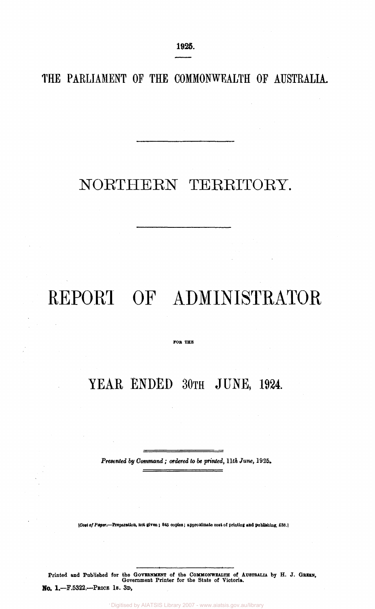**1925.** 

**THE PARLIAMENT OF THE COMMONWEALTH OF AUSTRALIA.** 

# NORTHERN TERRITORY.

# REPORT OF ADMINISTRATOR

**TOR THE** 

### YEAR ENDED 30TH JUNE, 1924.

*Presented by Command; ordered to be printed, 11th June,* 1925.

*[\[Cost](file:///Cott) of Paper,—***Preparation, not given; 845 copies; approximate cost of printing and publishing, £33.1** 

Printed and Published for the GOVERNMENT of the COMMONWEALTH of AUSTRALIA by H. J. GREEN, GOVERNMENT for the State of Victoria. No. 1.—F.5322.—PRICE 1S. 3D,

Digitised by AIATSIS Library 2007 - www.aiatsis.gov.au/library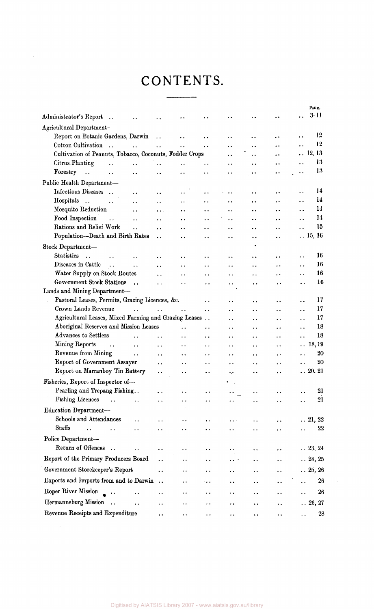## CONTENTS.

|                                                            |                        |                      |                      |                      |                      |                      |                      | PAGE.                         |            |
|------------------------------------------------------------|------------------------|----------------------|----------------------|----------------------|----------------------|----------------------|----------------------|-------------------------------|------------|
| Administrator's Report<br>$\ddotsc$                        |                        | $\ddot{\phantom{1}}$ |                      | ٠.                   |                      |                      |                      | 3-11                          |            |
| Agricultural Department-                                   |                        |                      |                      |                      |                      |                      |                      |                               |            |
| Report on Botanic Gardens, Darwin                          |                        | $\ddot{\phantom{a}}$ | $\ddot{\phantom{a}}$ |                      | $\ddot{\phantom{0}}$ |                      | $\ddot{\phantom{1}}$ |                               | 12         |
| Cotton Cultivation<br>$\ddotsc$                            | $\ddot{\phantom{a}}$   | $\ddot{\phantom{a}}$ | $\ddot{\phantom{a}}$ | $\ddot{\phantom{0}}$ | . .                  | . .                  | $\cdot$              |                               | 12         |
| Cultivation of Peanuts, Tobacco, Coconuts, Fodder Crops    |                        |                      |                      |                      | $\ddot{\phantom{0}}$ | $\ddot{\phantom{0}}$ | $\ddot{\phantom{0}}$ | $\ldots$ 12, 13               |            |
| Citrus Planting<br>$\ddot{\phantom{a}}$                    | $\ddot{\phantom{a}}$   | $\ddot{\phantom{a}}$ | $\ddot{\phantom{0}}$ | $\ddot{\phantom{1}}$ | $\ddot{\phantom{a}}$ | $\ddot{\phantom{0}}$ | $\ddot{\phantom{0}}$ |                               | 13         |
| Forestry<br>$\ddot{\phantom{a}}$<br>$\ddot{\phantom{1}}$   | $\ddot{\phantom{1}}$   | $\ddot{\phantom{0}}$ | $\ddot{\phantom{0}}$ | $\ddot{\phantom{0}}$ | . .                  | $\ddot{\phantom{0}}$ | $\ddot{\phantom{0}}$ |                               | 13         |
| Public Health Department-                                  |                        |                      |                      |                      |                      |                      |                      |                               |            |
| Infectious Diseases                                        | $\ddot{\phantom{0}}$   | $\ddot{\phantom{0}}$ |                      | $\ddot{\phantom{0}}$ |                      | $\ddot{\phantom{0}}$ | $\ddot{\phantom{1}}$ | $\ddot{\phantom{0}}$          | 14         |
| Hospitals<br>$\dddot{\phantom{1}}$<br>$\ddot{\phantom{a}}$ | $\ddot{\phantom{0}}$   |                      |                      | . .                  |                      | $\ddot{\phantom{0}}$ | $\ddot{\phantom{1}}$ |                               | 14         |
| Mosquito Reduction                                         | $\ddot{\phantom{0}}$   |                      | $\ddot{\phantom{0}}$ | $\ddot{\phantom{0}}$ | $\ddot{\phantom{0}}$ | $\ddot{\phantom{0}}$ | $\cdot$ $\cdot$      |                               | 14         |
| Food Inspection<br>$\ddotsc$                               | $\ddot{\phantom{0}}$   |                      | . .                  | . .                  | $\ddot{\phantom{0}}$ | $\ddot{\phantom{0}}$ | $\ddot{\phantom{0}}$ |                               | 14         |
| Rations and Relief Work                                    | $\ddotsc$              |                      | . .                  | . .                  | $\ddot{\phantom{0}}$ | $\ddot{\phantom{0}}$ | $\ddot{\phantom{0}}$ |                               | 15         |
| Population-Death and Birth Rates                           |                        | $\ddot{\phantom{0}}$ | ٠.                   | $\ddot{\phantom{1}}$ | . .                  | $\ddot{\phantom{a}}$ | $\ddot{\phantom{0}}$ | $\ldots$ 15, 16               |            |
| Stock Department-                                          |                        |                      |                      |                      |                      |                      |                      |                               |            |
| <b>Statistics</b><br>$\ddot{\phantom{a}}$                  | $\ddot{\phantom{a}}$   | . .                  | . .                  |                      | . .                  | $\ddot{\phantom{0}}$ | $\cdot$ .            |                               | 16         |
| Diseases in Cattle<br>$\sim$ .                             | $\ddot{\phantom{a}}$ . |                      | $\ddot{\phantom{0}}$ | . .                  | $\ddot{\phantom{0}}$ |                      | . .                  |                               | 16         |
| Water Supply on Stock Routes                               |                        | $\ddot{\phantom{a}}$ | $\ddot{\phantom{0}}$ | . .                  | . .                  | . .                  | . .                  |                               | 16         |
| Government Stock Stations.                                 |                        | $\ddot{\phantom{a}}$ | . .                  | $\ddot{\phantom{a}}$ | . .                  | . .                  | $\ddot{\phantom{0}}$ |                               | 16         |
| Lands and Mining Department-                               |                        |                      |                      |                      |                      |                      |                      |                               |            |
| Pastoral Leases, Permits, Grazing Licences, &c.            |                        |                      |                      | $\ddot{\phantom{a}}$ | $\ddot{\phantom{0}}$ | $\ddot{\phantom{0}}$ | . .                  |                               | 17         |
| Crown Lands Revenue                                        | $\mathbf{1}$ .         | $\ddot{\phantom{a}}$ | $\ddot{\phantom{a}}$ | $\ddot{\phantom{a}}$ |                      | . .                  |                      |                               | 17         |
| Agricultural Leases, Mixed Farming and Grazing Leases      |                        |                      |                      | $\ddotsc$            | $\ddot{\phantom{0}}$ | . .                  |                      |                               | 17         |
| Aboriginal Reserves and Mission Leases                     |                        |                      |                      | . .                  | ٠.                   | $\ddot{\phantom{0}}$ | $\ddot{\phantom{a}}$ |                               | 18         |
| Advances to Settlers                                       | $\ddot{\phantom{a}}$   | $\ddot{\phantom{0}}$ | . .                  | $\ddot{\phantom{0}}$ | $\ddot{\phantom{1}}$ | . .                  | $\ddot{\phantom{0}}$ |                               | 18         |
| Mining Reports<br>$\sim$ .                                 | $\ddotsc$              | $\ddot{\phantom{a}}$ | $\ddot{\phantom{0}}$ | $\ddot{\phantom{0}}$ | $\ddot{\phantom{0}}$ | $\ddot{\phantom{0}}$ | $\ddot{\phantom{0}}$ | 18,19<br>$\ddot{\phantom{0}}$ |            |
| Revenue from Mining<br><b>Contract Contract</b>            |                        | $\ddot{\phantom{a}}$ | $\ddot{\phantom{0}}$ | $\ddot{\phantom{0}}$ | . .                  | . .                  | . .                  |                               | 20         |
| Report of Government Assayer                               |                        | $\ddot{\phantom{0}}$ | $\ddot{\phantom{0}}$ | $\ddot{\phantom{0}}$ | . .                  | . .                  | $\ddot{\phantom{0}}$ |                               | 20         |
| Report on Marranboy Tin Battery                            |                        | . .                  | $\ddot{\phantom{0}}$ | $\ddot{\phantom{0}}$ | $\ddotsc$            | . .                  | $\ddot{\phantom{0}}$ | $\ldots 20.21$                |            |
| Fisheries, Report of Inspector of-                         |                        |                      |                      |                      | $\mathbf{r}$         |                      |                      |                               |            |
| Pearling and Trepang Fishing                               |                        | $\ddot{\phantom{1}}$ | ٠.                   | $\ddot{\phantom{0}}$ |                      | . .                  | . .                  |                               | 21         |
| <b>Fishing Licences</b><br>$\ddot{\phantom{a}}$            | $\ddot{\phantom{0}}$   | $\ddot{\phantom{0}}$ |                      | $\ddot{\phantom{a}}$ | $\ddot{\phantom{0}}$ | . .                  |                      |                               | 21         |
| Education Department-                                      |                        |                      |                      |                      |                      |                      |                      |                               |            |
| Schools and Attendances                                    |                        |                      |                      |                      |                      |                      |                      |                               |            |
| Staffs                                                     |                        |                      |                      |                      |                      |                      |                      | $\ldots\, 21,\, 22$           | 22         |
|                                                            |                        |                      |                      |                      |                      |                      |                      |                               |            |
| Police Department-                                         |                        |                      |                      |                      |                      |                      |                      |                               |            |
| Return of Offences<br>$\dddot{\phantom{1}}$                | $\ddot{\phantom{a}}$   | $\ddot{\phantom{0}}$ |                      |                      |                      |                      |                      | $\ldots$ 23, 24               |            |
| Report of the Primary Producers Board                      |                        | $\ddot{\phantom{0}}$ | . .                  | . .                  |                      |                      |                      | $\ldots 24, 25$               |            |
| Government Storekeeper's Report                            |                        | $\ddot{\phantom{0}}$ |                      |                      |                      |                      |                      | $\ldots$ 25, 26               |            |
| Exports and Imports from and to Darwin                     |                        | $\ddot{\phantom{a}}$ | . .                  |                      |                      |                      |                      |                               | 26         |
| Roper River Mission                                        |                        |                      |                      |                      |                      |                      |                      |                               | ${\bf 26}$ |
|                                                            |                        | . .                  |                      | . .                  |                      |                      |                      |                               |            |
| Hermannsburg Mission                                       | $\ddot{\phantom{0}}$   | . .                  |                      |                      |                      |                      |                      | $\ldots 26, 27$               |            |
| Revenue Receipts and Expenditure                           |                        | . .                  |                      |                      | . .                  |                      |                      |                               | 28         |

 $\sim 10^{11}$  km  $^{-1}$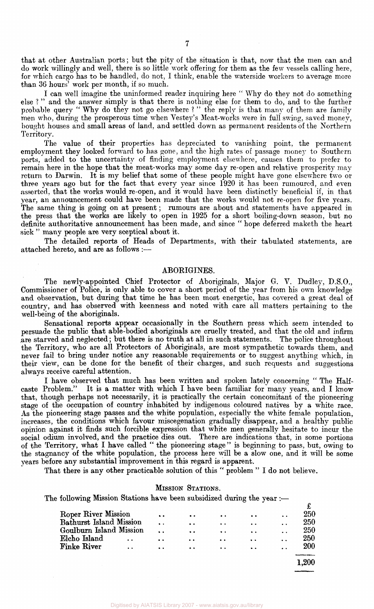that at other Australian ports; but the pity of the situation is that, now that the men can and do work willingly and well, there is so little work offering for them as the few vessels calling here, for which cargo has to be handled, do not, I think, enable the waterside workers to average more than 36 hours' work per month, if so much.

I can well imagine the uninformed reader inquiring here " Why do they not do something else ? " and the answer simply is that there is nothing else for them to do, and to the further probable query " Why do they not go elsewhere ? " the reply is that many of them are family men who, during the prosperous time when Vestey's Meat-works were in full swing, saved money, bought houses and small areas of land, and settled down as permanent residents of the Northern Territory.

The value of their properties has depreciated to vanishing point, the permanent employment they looked forward to has gone, and the high rates of passage money to Southern ports, added to the uncertainty of finding employment elsewhere, causes them to prefer to remain here in the hope that the meat-works may some day re-open and relative prosperity may return to Darwin. It is my belief that some of these people might have gone elsewhere two or three years ago but for the fact that every year since 1920 it has been rumoured, and even asserted, that the works would re-open, and it would have been distinctly beneficial if, in that year, an announcement could have been made that the works would not re-open for five years. The same thing is going on at present; rumours are about and statements have appeared in the press that the works are likely to open in 1925 for a short boiling-down season, but no definite authoritative announcement has been made, and since " hope deferred maketh the heart sick " many people are very sceptical about it.

The detailed reports of Heads of Departments, with their tabulated statements, are attached hereto, and are as follows :—

#### ABORIGINES.

The newly-appointed Chief Protector of Aboriginals, Major G. V. Dudley, D.S.O., Commissioner of Police, is only able to cover a short period of the year from his own knowledge and observation, but during that time he has been most energetic, has covered a great deal of country, and has observed with keenness and noted with care all matters pertaining to the well-being of the aboriginals.

Sensational reports appear occasionally in the Southern press which seem intended to persuade the public that able-bodied aboriginals are cruelly treated, and that the old and infirm are starved and neglected; but there is no truth at all in such statements. The police throughout the Territory, who are all Protectors of Aboriginals, are most sympathetic towards them, and never fail to bring under notice any reasonable requirements or to suggest anything which, in their view, can be done for the benefit of their charges, and such requests and suggestions always receive careful attention.

I have observed that much has been written and spoken lately concerning "The Half-<br>caste Problem." It is a matter with which I have been familiar for many years, and I know It is a matter with which I have been familiar for many years, and I know that, though perhaps not necessarily, it is practically the certain concomitant of the pioneering stage of the occupation of country inhabited by indigenous coloured natives by a white race. As the pioneering stage passes and the white population, especially the white female population, increases, the conditions which favour miscegenation gradually disappear, and a healthy public opinion against it finds such forcible expression that white men generally hesitate to incur the social odium involved, and the practice dies out. There are indications that, in some portions of the Territory, what I have called " the pioneering stage" is beginning to pass, but, owing to the stagnancy of the white population, the process here will be a slow one, and it will be some years before any substantial improvement in this regard is apparent.

That there is any other practicable solution of this " problem " I do not believe.

#### MISSION STATIONS.

The following Mission Stations have been subsidized during the year :-

| Roper River Mission     |                      | $\bullet$ | $\bullet$        | $\bullet\bullet$                              | $\bullet\bullet$     | $\ddot{\phantom{a}}$ | 250       |
|-------------------------|----------------------|-----------|------------------|-----------------------------------------------|----------------------|----------------------|-----------|
| Bathurst Island Mission |                      | $\bullet$ | $\bullet\bullet$ | $\bullet\hspace{0.4mm}\bullet\hspace{0.4mm}$  | $\ddot{\phantom{1}}$ |                      | 250       |
| Goulburn Island Mission |                      | $\bullet$ | $\bullet$        | $\bullet\bullet$                              | $\bullet$            | . .                  | 250       |
| Elcho Island            |                      | $\bullet$ | $\bullet\bullet$ | $\bullet$                                     | $\bullet$            | $\ddot{\phantom{a}}$ | 250       |
| <b>Finke River</b>      | $\ddot{\phantom{a}}$ | $\bullet$ | $\bullet\bullet$ | $\bullet\hspace{0.1cm} \bullet\hspace{0.1cm}$ | $\ddot{\phantom{0}}$ | $\ddot{\phantom{a}}$ | 200       |
|                         |                      |           |                  |                                               |                      |                      |           |
|                         |                      |           |                  |                                               |                      |                      | $1,\!200$ |
|                         |                      |           |                  |                                               |                      |                      |           |

Digitised by AIATSIS Library 2007 - www.aiatsis.gov.au/libra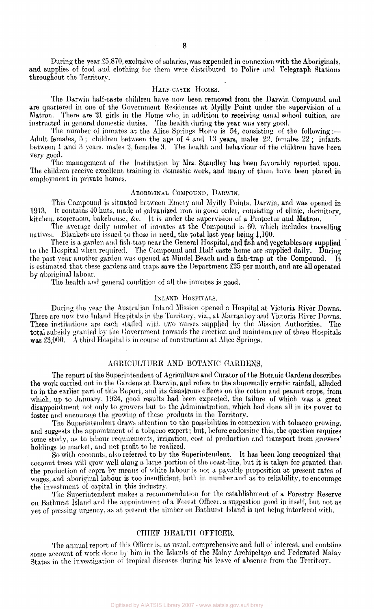During the year £5,870, exclusive of salaries, was expended in connexion with the Aboriginals, and supplies of food and clothing for them were distributed to Police and Telegraph Stations throughout the Territory.

#### HALF-CASTE HOMES.

The Darwin half-caste children have now been removed from the Darwin Compound and are quartered in one of the Government Residences at Myilly Point under the supervision of a Matron. There are 21 girls in the Home who, in addition to receiving usual school tuition, are instructed in general domestic duties. The health during the year was very good.

The number of inmates at the Alice Springs Home is 54, consisting of the following:— Adult females, 5; children between the age of  $4$  and 13 years, males 22. females 22; infants between 1 and 3 years, males 2, females 3. The health and behaviour of the children have been very good.

The management of the Institution by Mrs. Standley hag been favorably reported upon. The children receive excellent training in domestic work, and many of them have been placed in employment in private homes.

#### ABORIGINAL COMPOUND, DARWIN.

This Compound is situated between Emery and Myilly Points. Darwin, and was opened in 1913. It contains 40 huts, made of galvanized iron in good order, consisting of clinic, dormitory, kitchen, storeroom, bakehouse, &c. It is under the supervision of a Protector and Matron.

The average daily number of inmates at the Compound is 60, which includes travelling natives. Blankets are issued to those in need, the total last year being 1,100.

There is a garden and fish-trap near the General Hospital, and fish and vegetables are supplied to the Hospital when required. The Compound and Half-caste home are supplied daily. During the past year another garden was opened at Mindel Beach and a fish-trap at the Compound. It is estimated that these gardens and traps save the Department £25 per month, and are all operated by aboriginal labour.

The health and general condition of all the inmates is good.

#### INLAND HOSPITALS.

During the year the Australian Inland Mission opened a Hospital at Victoria River Downs. There are now two Inland Hospitals in the Territory, viz., at Marranboy and Victoria River Downs. These institutions are each staffed with two nurses supplied by the Mission Authorities. The total subsidy granted by the Government towards the erection and maintenance of these Hospitals was £3,000. A third Hospital is in course of construction at Alice Springs.

#### AGRICULTURE AND BOTANIC GARDENS.

The report of the Superintendent of Agriculture and Curator of the Botanic Gardens describes the work carried out in the Gardens at Darwin, and refers to the abnormally erratic rainfall, alluded to in the earlier part of this Report, and its disastrous effects on the cotton and peanut crops, from which, up to January, 1924, good results had been expected, the failure of which was a great disappointment not only to growers but to the Administration, which had done all in its power to foster and encourage the growing of these products in the Territory.

The Superintendent draws attention to the possibilities in connexion with tobacco growing, and suggests the appointment of a tobacco expert; but, before endorsing this, the question requires some study, as to labour requirements, irrigation, cost of production and transport from growers' holdings to market, and net profit to be realized.

So with coconuts, also referred to by the Superintendent. It has been long recognized that coconut trees will grow well along a large portion of the coast-line, but it is taken for granted that the production of copra by means of white labour is not a payable proposition at present rates of wages, and aboriginal labour is too insufficient, both in number and as to reliability, to encourage the investment of capital in this industry,

The Superintendent makes a recommendation for the establishment of a Forestry Reserve on Bathurst Island and the appointment of a Forest Officer, a suggestion good in itself, but not as vet of pressing urgency, as at present the timber on Bathurst Island is not being interfered with.

#### CHIEF HEALTH OFFICER,

The annual report of this Officer is, as usual, comprehensive and full of interest, and contains some account of work done by him in the Islands of the Malay Archipelago and Federated Malay States in the investigation of tropical diseases during his leave of absence from the Territory.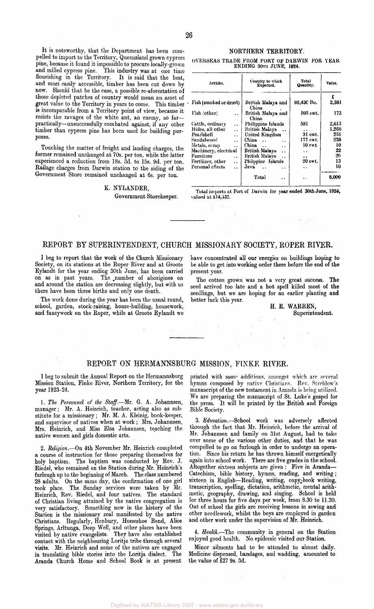It is noteworthy, that the Department has been compelled to import to the Territory, Queensland grown cypress pine, because it found it impossible to procure locally-grown and milled cypress pine. This industry was at one time flourishing in the Territory. It is said that the best, and most easily accessible, timber has been cut down by now. Should that be the case, a possible re-aforestation of those depleted patches of country would mean an asset of great value to the Territory in years to come. This timber is incomparable from a Territory point of view, because it resists the ravages of the white ant, an enemy, so far practically—unsuccessfully combated against, if any other timber than cypress pine has been used for building purposes.

Touching the matter of freight and landing charges, the former remained unchanged at 70s. per ton, while the latter experienced a reduction from 18s. 3d. to 15s. 9d. per ton. Railage charges from Darwin station to the siding of the Government Store remained unchanged at 6s. per ton.

#### K. NYLANDER,

Government Storekeeper.

#### NORTHERN TERRITORY.

OVERSEAS TRADE FROM PORT OF DARWIN FOR YEAR ENDING 30TII JUNE, 924.

| Articles.              |                      | Country to which<br>Exported.                         | Total<br>Quantity. | Value. |  |
|------------------------|----------------------|-------------------------------------------------------|--------------------|--------|--|
|                        |                      |                                                       |                    | £      |  |
| Fish (smoked or dried) |                      | British Malaya and<br>China                           | 95,430 lbs.        | 3.381  |  |
| Fish other.            | $\ddot{\phantom{a}}$ | British Malaya and<br>China                           | 105 cwt.           | 173    |  |
| Cattle, ordinary       | $\ddot{\phantom{a}}$ | Philippine Islands                                    | 581                | 2,615  |  |
| Hides, all other       | $\ddot{\phantom{a}}$ | British Malaya<br>$\ddot{\phantom{a}}$                | . .                | 1.266  |  |
| Pearlshell             | $\ddot{\phantom{0}}$ | United Kingdom                                        | 31 cwt.            | 251    |  |
| Sandalwood             | $\ddot{\phantom{a}}$ | China<br>. .                                          | 177 cwt.           | 239    |  |
| Metals, scrap          | $\cdot$ .            | China<br>$\ddot{\phantom{a}}$<br>$\ddot{\phantom{a}}$ | 10 cwt.            | 10     |  |
| Machinery, electrical  |                      | British Malaya<br>$\ddot{\phantom{0}}$                | . .                | 22     |  |
| Furniture              | $\ddot{\phantom{0}}$ | British Malaya<br>$\ddot{\phantom{a}}$                |                    | 20     |  |
| Fertliizer, other      | $\ddot{\phantom{a}}$ | Philppine Islands                                     | 20 cwt.            | 13     |  |
| Personal effects       | $\ddot{\phantom{a}}$ | Java<br>$\ddot{\phantom{a}}$<br>. .                   | . .                | 10     |  |
|                        |                      | Total<br>. .                                          |                    | 8,000  |  |

Total imports at Port of Darwin for year ended 30th June, 1924, valued at £14,432.

#### REPORT BY SUPERINTENDENT, CHURCH MISSIONARY SOCIETY, ROPER RIVER.

I beg to report that the work of the Church Missionary Society, on its stations at the Roper River and at Groote Eylandt for the year ending 30th June, has been carried on as in past years. The number of aborigines on and around the station are decreasing slightly, but with us there have been three births and only one death.

The work done during the year has been the usual round, school, garden, stock-raising, house-building, housework, and fancywork on the Roper, while at Groote Eylandt we have concentrated all our energies on buildings hoping to be able to get into working order there before the end of the present year.

The cotton grown was not a very great success. The seed arrived too late and a hot spell killed most of the seedlings, but we are hoping for an earlier planting and better luck this year.

H. E. WARREN, Superintendent.

 $\mathcal{O}(\mathcal{O})$ 

#### REPORT ON HERMANNSBURG MISSION, FINKE RIVER.

I beg to submit the Annual Report on the Hermannsburg Mission Station, Finke River, Northern Territory, for the year 1923-24.

1. *The Personnel of the Staff.*—Mr. G. A. Johannsen, manager; Mr. A. Heinrich, teacher, acting also as substitute for a missionary; Mr. M. A. Kleinig, book-keeper, and supervisor of natives when at work ; Mrs. Johannsen, Mrs. Heinrich, and Miss Elsa Johannsen, teaching the native women and girls domestic arts.

2. *Religion.*—On 4th November Mr. Heinrich completed a course of instruction for those preparing themselves for holy baptism. The baptism was conducted by Rev. J. Riedel, who remained on the Station during Mr. Heinrich's furlough up to the beginning of March. The class numbered 28 adults. On the same day, the confirmation of one girl took place. The Sunday services were taken by Mr. Heinrich, Rev. Riedel, and four natives. The standard of Christian living attained by the native congregation is very satisfactory. Something new in the history of the Station is the missionary zeal manifested by the native Christians. Regularly, Henbury, Horseshoe Bend, Alice Surface Arltunga, Deep Well, and other places have been visited by native evangelists. They have also established contact with the neighbouring Loritja tribe through several visits. Mr. Heinrich and some of the natives are engaged in translating bible stories into the Loritja dialect. The Aranda Church Home and School Book is at present

printed with some additions, amongst which are several hymns composed by native Christians. Rev. Strehlow's manuscript of the new testament in Aranda is being utilized. We are preparing the manuscript of St. Luke's gospel for the press. It will be printed by the British and Foreign Bible Society.

3. *Education.*—School work was adversely affected through the fact that Mr. Heinrich, before the arrival of Mr. Johannsen and family on 31st August, had to take over some of the various other duties, and that he was compelled to go on furlough in order to undergo an operation. Since his return he has thrown himself energetically again into school work. There are five grades in the school. Altogether sixteen subjects are given: Five in Aranda— Catechism, bible history, hymns, reading, and writing; sixteen in English—Reading, writing, copy-book writing, transcription, spelling, dictation, arithmetic, mental arithmetic, geography, drawing, and singing. School is held for three hours for five days per week, from 8.30 to 11.30. Out of school the girls are receiving lessons in sewing and other needlework, whilst the boys are employed in garden and other work under the supervision of Mr. Heinrich.

4. *Health.*—The community in general on the Station enjoyed good health. No epidemic visited our Station.

Minor ailments had to be attended to almost daily. Medicine dispensed, bandages, and wadding, amounted to the value of £27 9s. 3d.